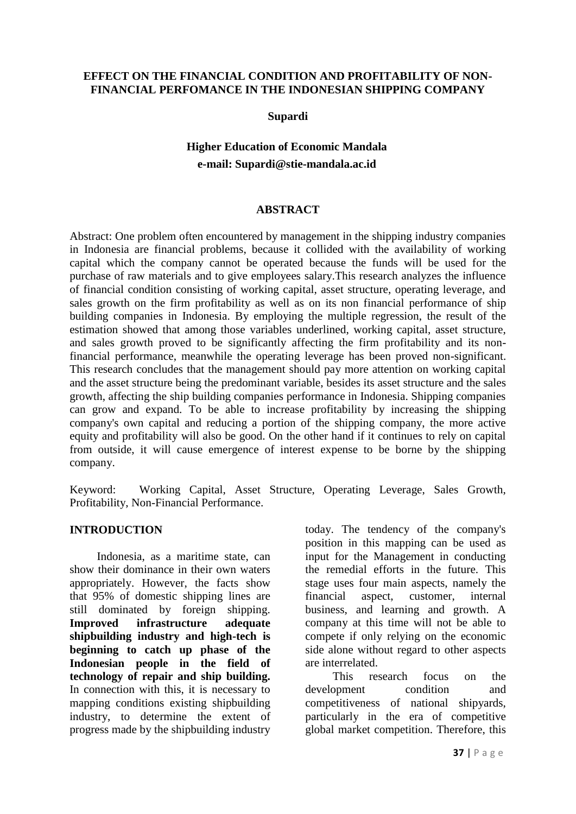#### **EFFECT ON THE FINANCIAL CONDITION AND PROFITABILITY OF NON-FINANCIAL PERFOMANCE IN THE INDONESIAN SHIPPING COMPANY**

**Supardi**

# **Higher Education of Economic Mandala e-mail: Supardi@stie-mandala.ac.id**

#### **ABSTRACT**

Abstract: One problem often encountered by management in the shipping industry companies in Indonesia are financial problems, because it collided with the availability of working capital which the company cannot be operated because the funds will be used for the purchase of raw materials and to give employees salary.This research analyzes the influence of financial condition consisting of working capital, asset structure, operating leverage, and sales growth on the firm profitability as well as on its non financial performance of ship building companies in Indonesia. By employing the multiple regression, the result of the estimation showed that among those variables underlined, working capital, asset structure, and sales growth proved to be significantly affecting the firm profitability and its nonfinancial performance, meanwhile the operating leverage has been proved non-significant. This research concludes that the management should pay more attention on working capital and the asset structure being the predominant variable, besides its asset structure and the sales growth, affecting the ship building companies performance in Indonesia. Shipping companies can grow and expand. To be able to increase profitability by increasing the shipping company's own capital and reducing a portion of the shipping company, the more active equity and profitability will also be good. On the other hand if it continues to rely on capital from outside, it will cause emergence of interest expense to be borne by the shipping company.

Keyword: Working Capital, Asset Structure, Operating Leverage, Sales Growth, Profitability, Non-Financial Performance.

#### **INTRODUCTION**

Indonesia, as a maritime state, can show their dominance in their own waters appropriately. However, the facts show that 95% of domestic shipping lines are still dominated by foreign shipping. **Improved infrastructure adequate shipbuilding industry and high-tech is beginning to catch up phase of the Indonesian people in the field of technology of repair and ship building.** In connection with this, it is necessary to mapping conditions existing shipbuilding industry, to determine the extent of progress made by the shipbuilding industry

today. The tendency of the company's position in this mapping can be used as input for the Management in conducting the remedial efforts in the future. This stage uses four main aspects, namely the financial aspect, customer, internal business, and learning and growth. A company at this time will not be able to compete if only relying on the economic side alone without regard to other aspects are interrelated.

This research focus on the development condition and competitiveness of national shipyards, particularly in the era of competitive global market competition. Therefore, this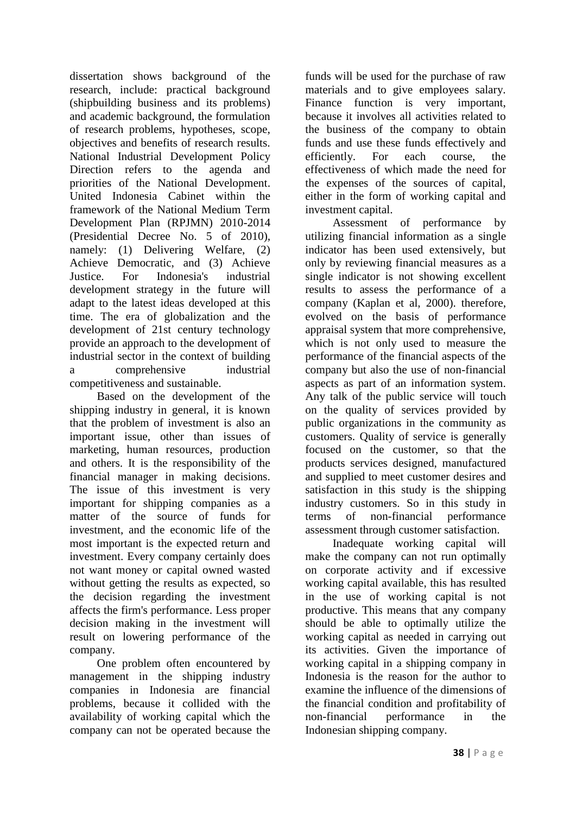dissertation shows background of the research, include: practical background (shipbuilding business and its problems) and academic background, the formulation of research problems, hypotheses, scope, objectives and benefits of research results. National Industrial Development Policy Direction refers to the agenda and priorities of the National Development. United Indonesia Cabinet within the framework of the National Medium Term Development Plan (RPJMN) 2010-2014 (Presidential Decree No. 5 of 2010), namely: (1) Delivering Welfare, (2) Achieve Democratic, and (3) Achieve Justice. For Indonesia's industrial development strategy in the future will adapt to the latest ideas developed at this time. The era of globalization and the development of 21st century technology provide an approach to the development of industrial sector in the context of building a comprehensive industrial competitiveness and sustainable.

Based on the development of the shipping industry in general, it is known that the problem of investment is also an important issue, other than issues of marketing, human resources, production and others. It is the responsibility of the financial manager in making decisions. The issue of this investment is very important for shipping companies as a matter of the source of funds for investment, and the economic life of the most important is the expected return and investment. Every company certainly does not want money or capital owned wasted without getting the results as expected, so the decision regarding the investment affects the firm's performance. Less proper decision making in the investment will result on lowering performance of the company.

One problem often encountered by management in the shipping industry companies in Indonesia are financial problems, because it collided with the availability of working capital which the company can not be operated because the

funds will be used for the purchase of raw materials and to give employees salary. Finance function is very important, because it involves all activities related to the business of the company to obtain funds and use these funds effectively and efficiently. For each course, the effectiveness of which made the need for the expenses of the sources of capital, either in the form of working capital and investment capital.

Assessment of performance by utilizing financial information as a single indicator has been used extensively, but only by reviewing financial measures as a single indicator is not showing excellent results to assess the performance of a company (Kaplan et al, 2000). therefore, evolved on the basis of performance appraisal system that more comprehensive, which is not only used to measure the performance of the financial aspects of the company but also the use of non-financial aspects as part of an information system. Any talk of the public service will touch on the quality of services provided by public organizations in the community as customers. Quality of service is generally focused on the customer, so that the products services designed, manufactured and supplied to meet customer desires and satisfaction in this study is the shipping industry customers. So in this study in terms of non-financial performance assessment through customer satisfaction.

Inadequate working capital will make the company can not run optimally on corporate activity and if excessive working capital available, this has resulted in the use of working capital is not productive. This means that any company should be able to optimally utilize the working capital as needed in carrying out its activities. Given the importance of working capital in a shipping company in Indonesia is the reason for the author to examine the influence of the dimensions of the financial condition and profitability of non-financial performance in the Indonesian shipping company.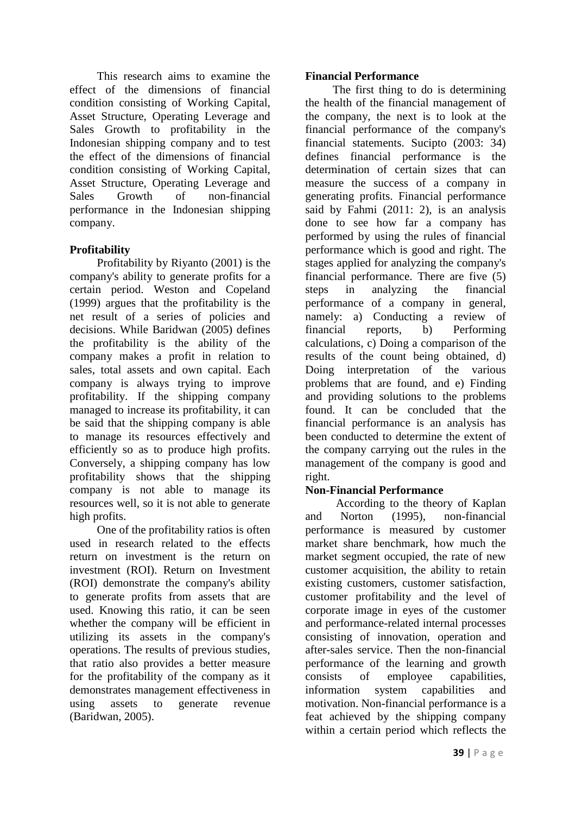This research aims to examine the effect of the dimensions of financial condition consisting of Working Capital, Asset Structure, Operating Leverage and Sales Growth to profitability in the Indonesian shipping company and to test the effect of the dimensions of financial condition consisting of Working Capital, Asset Structure, Operating Leverage and Sales Growth of non-financial performance in the Indonesian shipping company.

## **Profitability**

Profitability by Riyanto (2001) is the company's ability to generate profits for a certain period. Weston and Copeland (1999) argues that the profitability is the net result of a series of policies and decisions. While Baridwan (2005) defines the profitability is the ability of the company makes a profit in relation to sales, total assets and own capital. Each company is always trying to improve profitability. If the shipping company managed to increase its profitability, it can be said that the shipping company is able to manage its resources effectively and efficiently so as to produce high profits. Conversely, a shipping company has low profitability shows that the shipping company is not able to manage its resources well, so it is not able to generate high profits.

One of the profitability ratios is often used in research related to the effects return on investment is the return on investment (ROI). Return on Investment (ROI) demonstrate the company's ability to generate profits from assets that are used. Knowing this ratio, it can be seen whether the company will be efficient in utilizing its assets in the company's operations. The results of previous studies, that ratio also provides a better measure for the profitability of the company as it demonstrates management effectiveness in using assets to generate revenue (Baridwan, 2005).

#### **Financial Performance**

The first thing to do is determining the health of the financial management of the company, the next is to look at the financial performance of the company's financial statements. Sucipto (2003: 34) defines financial performance is the determination of certain sizes that can measure the success of a company in generating profits. Financial performance said by Fahmi (2011: 2), is an analysis done to see how far a company has performed by using the rules of financial performance which is good and right. The stages applied for analyzing the company's financial performance. There are five (5) steps in analyzing the financial performance of a company in general, namely: a) Conducting a review of financial reports, b) Performing calculations, c) Doing a comparison of the results of the count being obtained, d) Doing interpretation of the various problems that are found, and e) Finding and providing solutions to the problems found. It can be concluded that the financial performance is an analysis has been conducted to determine the extent of the company carrying out the rules in the management of the company is good and right.

## **Non-Financial Performance**

According to the theory of Kaplan and Norton (1995), non-financial performance is measured by customer market share benchmark, how much the market segment occupied, the rate of new customer acquisition, the ability to retain existing customers, customer satisfaction, customer profitability and the level of corporate image in eyes of the customer and performance-related internal processes consisting of innovation, operation and after-sales service. Then the non-financial performance of the learning and growth consists of employee capabilities, information system capabilities and motivation. Non-financial performance is a feat achieved by the shipping company within a certain period which reflects the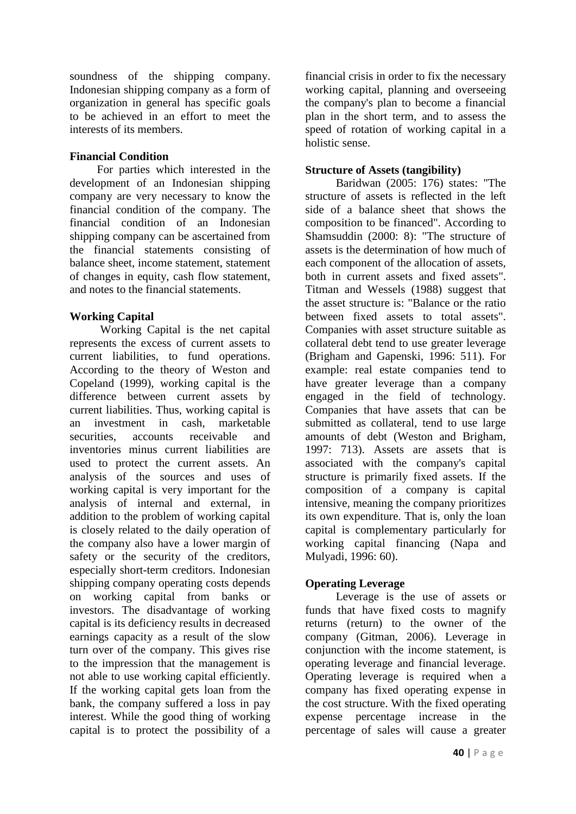soundness of the shipping company. Indonesian shipping company as a form of organization in general has specific goals to be achieved in an effort to meet the interests of its members.

#### **Financial Condition**

For parties which interested in the development of an Indonesian shipping company are very necessary to know the financial condition of the company. The financial condition of an Indonesian shipping company can be ascertained from the financial statements consisting of balance sheet, income statement, statement of changes in equity, cash flow statement, and notes to the financial statements.

## **Working Capital**

Working Capital is the net capital represents the excess of current assets to current liabilities, to fund operations. According to the theory of Weston and Copeland (1999), working capital is the difference between current assets by current liabilities. Thus, working capital is an investment in cash, marketable securities, accounts receivable and inventories minus current liabilities are used to protect the current assets. An analysis of the sources and uses of working capital is very important for the analysis of internal and external, in addition to the problem of working capital is closely related to the daily operation of the company also have a lower margin of safety or the security of the creditors, especially short-term creditors. Indonesian shipping company operating costs depends on working capital from banks or investors. The disadvantage of working capital is its deficiency results in decreased earnings capacity as a result of the slow turn over of the company. This gives rise to the impression that the management is not able to use working capital efficiently. If the working capital gets loan from the bank, the company suffered a loss in pay interest. While the good thing of working capital is to protect the possibility of a financial crisis in order to fix the necessary working capital, planning and overseeing the company's plan to become a financial plan in the short term, and to assess the speed of rotation of working capital in a holistic sense.

## **Structure of Assets (tangibility)**

Baridwan (2005: 176) states: "The structure of assets is reflected in the left side of a balance sheet that shows the composition to be financed". According to Shamsuddin (2000: 8): "The structure of assets is the determination of how much of each component of the allocation of assets, both in current assets and fixed assets". Titman and Wessels (1988) suggest that the asset structure is: "Balance or the ratio between fixed assets to total assets". Companies with asset structure suitable as collateral debt tend to use greater leverage (Brigham and Gapenski, 1996: 511). For example: real estate companies tend to have greater leverage than a company engaged in the field of technology. Companies that have assets that can be submitted as collateral, tend to use large amounts of debt (Weston and Brigham, 1997: 713). Assets are assets that is associated with the company's capital structure is primarily fixed assets. If the composition of a company is capital intensive, meaning the company prioritizes its own expenditure. That is, only the loan capital is complementary particularly for working capital financing (Napa and Mulyadi, 1996: 60).

## **Operating Leverage**

Leverage is the use of assets or funds that have fixed costs to magnify returns (return) to the owner of the company (Gitman, 2006). Leverage in conjunction with the income statement, is operating leverage and financial leverage. Operating leverage is required when a company has fixed operating expense in the cost structure. With the fixed operating expense percentage increase in the percentage of sales will cause a greater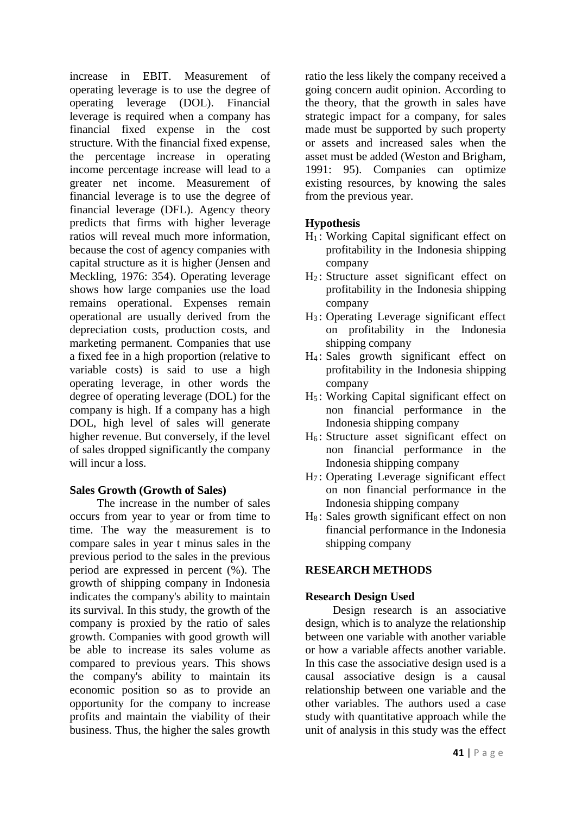increase in EBIT. Measurement of operating leverage is to use the degree of operating leverage (DOL). Financial leverage is required when a company has financial fixed expense in the cost structure. With the financial fixed expense, the percentage increase in operating income percentage increase will lead to a greater net income. Measurement of financial leverage is to use the degree of financial leverage (DFL). Agency theory predicts that firms with higher leverage ratios will reveal much more information, because the cost of agency companies with capital structure as it is higher (Jensen and Meckling, 1976: 354). Operating leverage shows how large companies use the load remains operational. Expenses remain operational are usually derived from the depreciation costs, production costs, and marketing permanent. Companies that use a fixed fee in a high proportion (relative to variable costs) is said to use a high operating leverage, in other words the degree of operating leverage (DOL) for the company is high. If a company has a high DOL, high level of sales will generate higher revenue. But conversely, if the level of sales dropped significantly the company will incur a loss.

## **Sales Growth (Growth of Sales)**

The increase in the number of sales occurs from year to year or from time to time. The way the measurement is to compare sales in year t minus sales in the previous period to the sales in the previous period are expressed in percent (%). The growth of shipping company in Indonesia indicates the company's ability to maintain its survival. In this study, the growth of the company is proxied by the ratio of sales growth. Companies with good growth will be able to increase its sales volume as compared to previous years. This shows the company's ability to maintain its economic position so as to provide an opportunity for the company to increase profits and maintain the viability of their business. Thus, the higher the sales growth

ratio the less likely the company received a going concern audit opinion. According to the theory, that the growth in sales have strategic impact for a company, for sales made must be supported by such property or assets and increased sales when the asset must be added (Weston and Brigham, 1991: 95). Companies can optimize existing resources, by knowing the sales from the previous year.

## **Hypothesis**

- H<sup>1</sup> : Working Capital significant effect on profitability in the Indonesia shipping company
- H<sub>2</sub>: Structure asset significant effect on profitability in the Indonesia shipping company
- H<sup>3</sup> : Operating Leverage significant effect on profitability in the Indonesia shipping company
- H<sup>4</sup> : Sales growth significant effect on profitability in the Indonesia shipping company
- H<sup>5</sup> : Working Capital significant effect on non financial performance in the Indonesia shipping company
- $H<sub>6</sub>$ : Structure asset significant effect on non financial performance in the Indonesia shipping company
- H<sup>7</sup> : Operating Leverage significant effect on non financial performance in the Indonesia shipping company
- H<sub>8</sub>: Sales growth significant effect on non financial performance in the Indonesia shipping company

## **RESEARCH METHODS**

## **Research Design Used**

Design research is an associative design, which is to analyze the relationship between one variable with another variable or how a variable affects another variable. In this case the associative design used is a causal associative design is a causal relationship between one variable and the other variables. The authors used a case study with quantitative approach while the unit of analysis in this study was the effect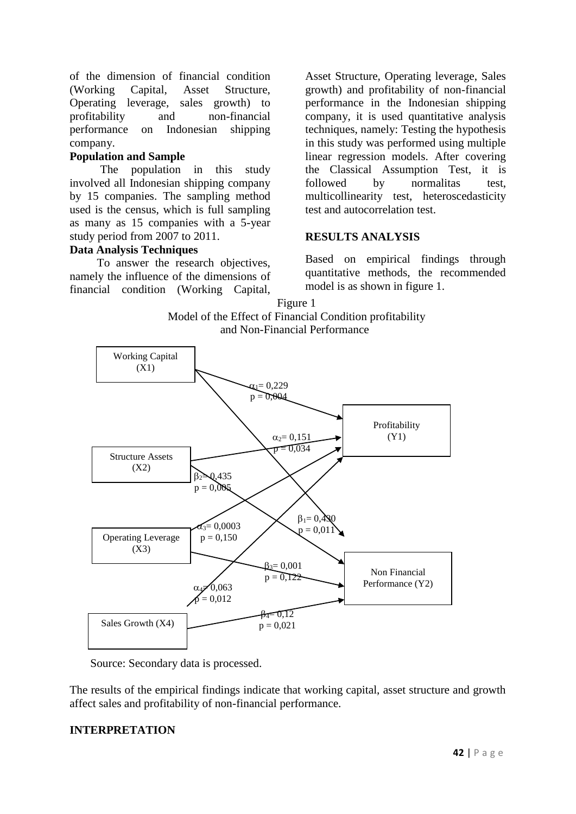of the dimension of financial condition (Working Capital, Asset Structure, Operating leverage, sales growth) to profitability and non-financial performance on Indonesian shipping company.

#### **Population and Sample**

The population in this study involved all Indonesian shipping company by 15 companies. The sampling method used is the census, which is full sampling as many as 15 companies with a 5-year study period from 2007 to 2011.

#### **Data Analysis Techniques**

To answer the research objectives, namely the influence of the dimensions of financial condition (Working Capital, Asset Structure, Operating leverage, Sales growth) and profitability of non-financial performance in the Indonesian shipping company, it is used quantitative analysis techniques, namely: Testing the hypothesis in this study was performed using multiple linear regression models. After covering the Classical Assumption Test, it is followed by normalitas test, multicollinearity test, heteroscedasticity test and autocorrelation test.

#### **RESULTS ANALYSIS**

Based on empirical findings through quantitative methods, the recommended model is as shown in figure 1.

Figure 1





Source: Secondary data is processed.

The results of the empirical findings indicate that working capital, asset structure and growth affect sales and profitability of non-financial performance.

#### **INTERPRETATION**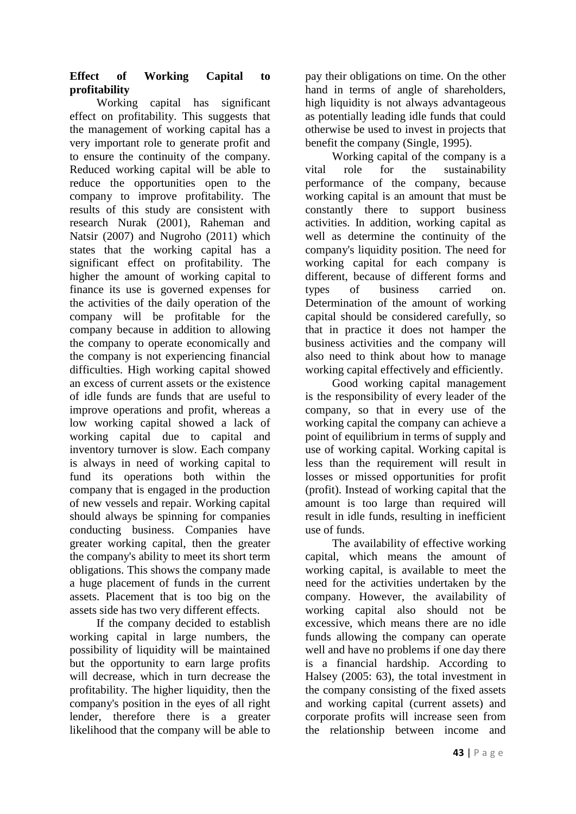## **Effect of Working Capital to profitability**

Working capital has significant effect on profitability. This suggests that the management of working capital has a very important role to generate profit and to ensure the continuity of the company. Reduced working capital will be able to reduce the opportunities open to the company to improve profitability. The results of this study are consistent with research Nurak (2001), Raheman and Natsir (2007) and Nugroho (2011) which states that the working capital has a significant effect on profitability. The higher the amount of working capital to finance its use is governed expenses for the activities of the daily operation of the company will be profitable for the company because in addition to allowing the company to operate economically and the company is not experiencing financial difficulties. High working capital showed an excess of current assets or the existence of idle funds are funds that are useful to improve operations and profit, whereas a low working capital showed a lack of working capital due to capital and inventory turnover is slow. Each company is always in need of working capital to fund its operations both within the company that is engaged in the production of new vessels and repair. Working capital should always be spinning for companies conducting business. Companies have greater working capital, then the greater the company's ability to meet its short term obligations. This shows the company made a huge placement of funds in the current assets. Placement that is too big on the assets side has two very different effects.

If the company decided to establish working capital in large numbers, the possibility of liquidity will be maintained but the opportunity to earn large profits will decrease, which in turn decrease the profitability. The higher liquidity, then the company's position in the eyes of all right lender, therefore there is a greater likelihood that the company will be able to

pay their obligations on time. On the other hand in terms of angle of shareholders, high liquidity is not always advantageous as potentially leading idle funds that could otherwise be used to invest in projects that benefit the company (Single, 1995).

Working capital of the company is a<br>role for the sustainability vital role for the sustainability performance of the company, because working capital is an amount that must be constantly there to support business activities. In addition, working capital as well as determine the continuity of the company's liquidity position. The need for working capital for each company is different, because of different forms and types of business carried on. Determination of the amount of working capital should be considered carefully, so that in practice it does not hamper the business activities and the company will also need to think about how to manage working capital effectively and efficiently.

Good working capital management is the responsibility of every leader of the company, so that in every use of the working capital the company can achieve a point of equilibrium in terms of supply and use of working capital. Working capital is less than the requirement will result in losses or missed opportunities for profit (profit). Instead of working capital that the amount is too large than required will result in idle funds, resulting in inefficient use of funds.

The availability of effective working capital, which means the amount of working capital, is available to meet the need for the activities undertaken by the company. However, the availability of working capital also should not be excessive, which means there are no idle funds allowing the company can operate well and have no problems if one day there is a financial hardship. According to Halsey (2005: 63), the total investment in the company consisting of the fixed assets and working capital (current assets) and corporate profits will increase seen from the relationship between income and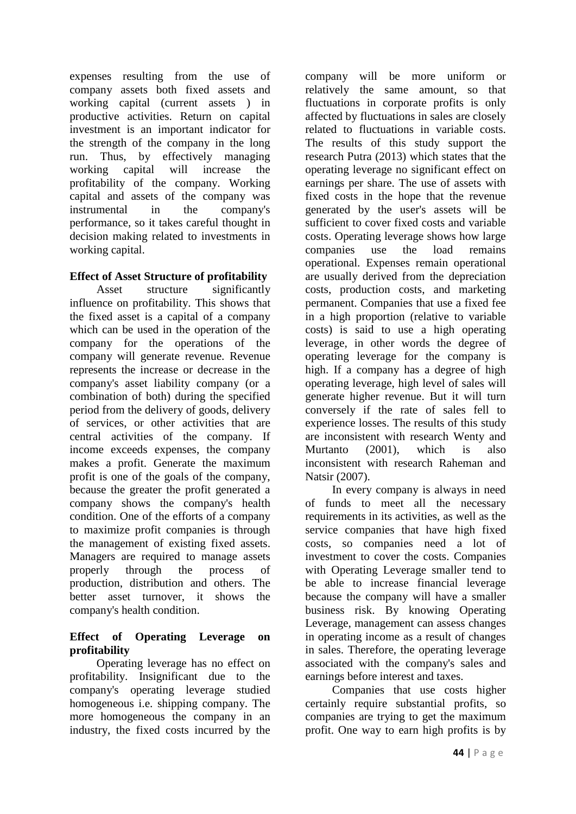expenses resulting from the use of company assets both fixed assets and working capital (current assets ) in productive activities. Return on capital investment is an important indicator for the strength of the company in the long run. Thus, by effectively managing working capital will increase the profitability of the company. Working capital and assets of the company was instrumental in the company's performance, so it takes careful thought in decision making related to investments in working capital.

## **Effect of Asset Structure of profitability**

Asset structure significantly influence on profitability. This shows that the fixed asset is a capital of a company which can be used in the operation of the company for the operations of the company will generate revenue. Revenue represents the increase or decrease in the company's asset liability company (or a combination of both) during the specified period from the delivery of goods, delivery of services, or other activities that are central activities of the company. If income exceeds expenses, the company makes a profit. Generate the maximum profit is one of the goals of the company, because the greater the profit generated a company shows the company's health condition. One of the efforts of a company to maximize profit companies is through the management of existing fixed assets. Managers are required to manage assets properly through the process of production, distribution and others. The better asset turnover, it shows the company's health condition.

## **Effect of Operating Leverage on profitability**

Operating leverage has no effect on profitability. Insignificant due to the company's operating leverage studied homogeneous i.e. shipping company. The more homogeneous the company in an industry, the fixed costs incurred by the

company will be more uniform or relatively the same amount, so that fluctuations in corporate profits is only affected by fluctuations in sales are closely related to fluctuations in variable costs. The results of this study support the research Putra (2013) which states that the operating leverage no significant effect on earnings per share. The use of assets with fixed costs in the hope that the revenue generated by the user's assets will be sufficient to cover fixed costs and variable costs. Operating leverage shows how large companies use the load remains operational. Expenses remain operational are usually derived from the depreciation costs, production costs, and marketing permanent. Companies that use a fixed fee in a high proportion (relative to variable costs) is said to use a high operating leverage, in other words the degree of operating leverage for the company is high. If a company has a degree of high operating leverage, high level of sales will generate higher revenue. But it will turn conversely if the rate of sales fell to experience losses. The results of this study are inconsistent with research Wenty and Murtanto (2001), which is also inconsistent with research Raheman and Natsir (2007).

In every company is always in need of funds to meet all the necessary requirements in its activities, as well as the service companies that have high fixed costs, so companies need a lot of investment to cover the costs. Companies with Operating Leverage smaller tend to be able to increase financial leverage because the company will have a smaller business risk. By knowing Operating Leverage, management can assess changes in operating income as a result of changes in sales. Therefore, the operating leverage associated with the company's sales and earnings before interest and taxes.

Companies that use costs higher certainly require substantial profits, so companies are trying to get the maximum profit. One way to earn high profits is by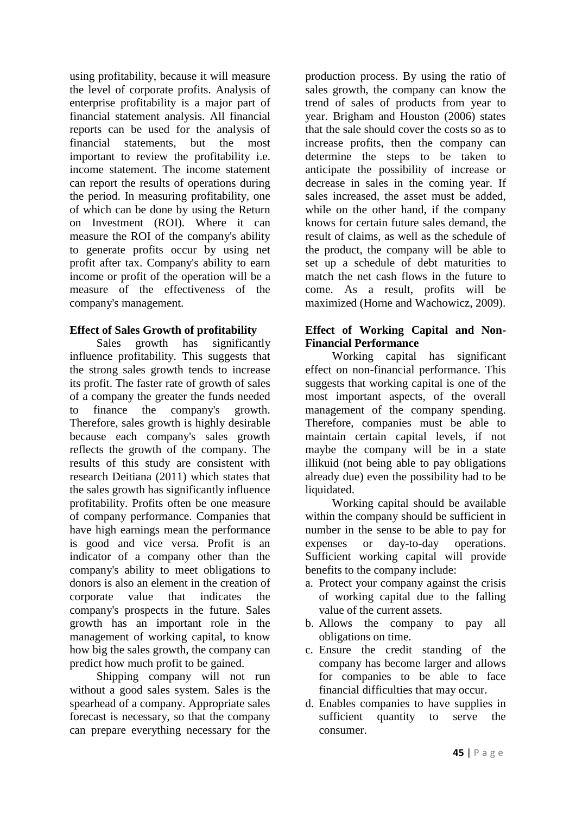using profitability, because it will measure the level of corporate profits. Analysis of enterprise profitability is a major part of financial statement analysis. All financial reports can be used for the analysis of financial statements, but the most statements, but the most important to review the profitability i.e. income statement. The income statement can report the results of operations during the period. In measuring profitability, one of which can be done by using the Return on Investment (ROI). Where it can measure the ROI of the company's ability to generate profits occur by using net profit after tax. Company's ability to earn income or profit of the operation will be a measure of the effectiveness of the company's management.

## **Effect of Sales Growth of profitability**

Sales growth has significantly influence profitability. This suggests that the strong sales growth tends to increase its profit. The faster rate of growth of sales of a company the greater the funds needed to finance the company's growth. Therefore, sales growth is highly desirable because each company's sales growth reflects the growth of the company. The results of this study are consistent with research Deitiana (2011) which states that the sales growth has significantly influence profitability. Profits often be one measure of company performance. Companies that have high earnings mean the performance is good and vice versa. Profit is an indicator of a company other than the company's ability to meet obligations to donors is also an element in the creation of corporate value that indicates the company's prospects in the future. Sales growth has an important role in the management of working capital, to know how big the sales growth, the company can predict how much profit to be gained.

Shipping company will not run without a good sales system. Sales is the spearhead of a company. Appropriate sales forecast is necessary, so that the company can prepare everything necessary for the

production process. By using the ratio of sales growth, the company can know the trend of sales of products from year to year. Brigham and Houston (2006) states that the sale should cover the costs so as to increase profits, then the company can determine the steps to be taken to anticipate the possibility of increase or decrease in sales in the coming year. If sales increased, the asset must be added, while on the other hand, if the company knows for certain future sales demand, the result of claims, as well as the schedule of the product, the company will be able to set up a schedule of debt maturities to match the net cash flows in the future to come. As a result, profits will be maximized (Horne and Wachowicz, 2009).

## **Effect of Working Capital and Non-Financial Performance**

Working capital has significant effect on non-financial performance. This suggests that working capital is one of the most important aspects, of the overall management of the company spending. Therefore, companies must be able to maintain certain capital levels, if not maybe the company will be in a state illikuid (not being able to pay obligations already due) even the possibility had to be liquidated.

Working capital should be available within the company should be sufficient in number in the sense to be able to pay for expenses or day-to-day operations. Sufficient working capital will provide benefits to the company include:

- a. Protect your company against the crisis of working capital due to the falling value of the current assets.
- b. Allows the company to pay all obligations on time.
- c. Ensure the credit standing of the company has become larger and allows for companies to be able to face financial difficulties that may occur.
- d. Enables companies to have supplies in sufficient quantity to serve the consumer.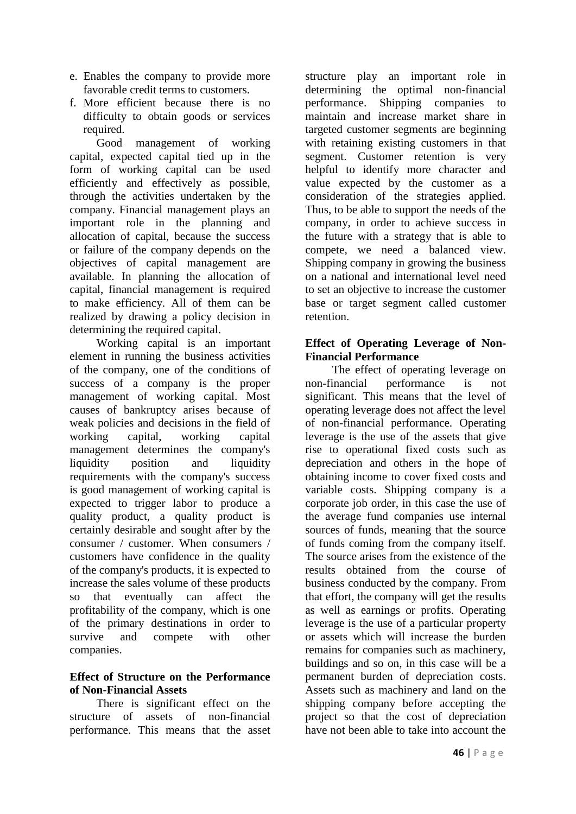- e. Enables the company to provide more favorable credit terms to customers.
- f. More efficient because there is no difficulty to obtain goods or services required.

Good management of working capital, expected capital tied up in the form of working capital can be used efficiently and effectively as possible, through the activities undertaken by the company. Financial management plays an important role in the planning and allocation of capital, because the success or failure of the company depends on the objectives of capital management are available. In planning the allocation of capital, financial management is required to make efficiency. All of them can be realized by drawing a policy decision in determining the required capital.

Working capital is an important element in running the business activities of the company, one of the conditions of success of a company is the proper management of working capital. Most causes of bankruptcy arises because of weak policies and decisions in the field of working capital, working capital management determines the company's liquidity position and liquidity requirements with the company's success is good management of working capital is expected to trigger labor to produce a quality product, a quality product is certainly desirable and sought after by the consumer / customer. When consumers / customers have confidence in the quality of the company's products, it is expected to increase the sales volume of these products so that eventually can affect the profitability of the company, which is one of the primary destinations in order to survive and compete with other companies.

#### **Effect of Structure on the Performance of Non-Financial Assets**

There is significant effect on the structure of assets of non-financial performance. This means that the asset structure play an important role in determining the optimal non-financial<br>performance. Shipping companies to Shipping companies to maintain and increase market share in targeted customer segments are beginning with retaining existing customers in that segment. Customer retention is very helpful to identify more character and value expected by the customer as a consideration of the strategies applied. Thus, to be able to support the needs of the company, in order to achieve success in the future with a strategy that is able to compete, we need a balanced view. Shipping company in growing the business on a national and international level need to set an objective to increase the customer base or target segment called customer retention.

### **Effect of Operating Leverage of Non-Financial Performance**

The effect of operating leverage on non-financial performance is not significant. This means that the level of operating leverage does not affect the level of non-financial performance. Operating leverage is the use of the assets that give rise to operational fixed costs such as depreciation and others in the hope of obtaining income to cover fixed costs and variable costs. Shipping company is a corporate job order, in this case the use of the average fund companies use internal sources of funds, meaning that the source of funds coming from the company itself. The source arises from the existence of the results obtained from the course of business conducted by the company. From that effort, the company will get the results as well as earnings or profits. Operating leverage is the use of a particular property or assets which will increase the burden remains for companies such as machinery, buildings and so on, in this case will be a permanent burden of depreciation costs. Assets such as machinery and land on the shipping company before accepting the project so that the cost of depreciation have not been able to take into account the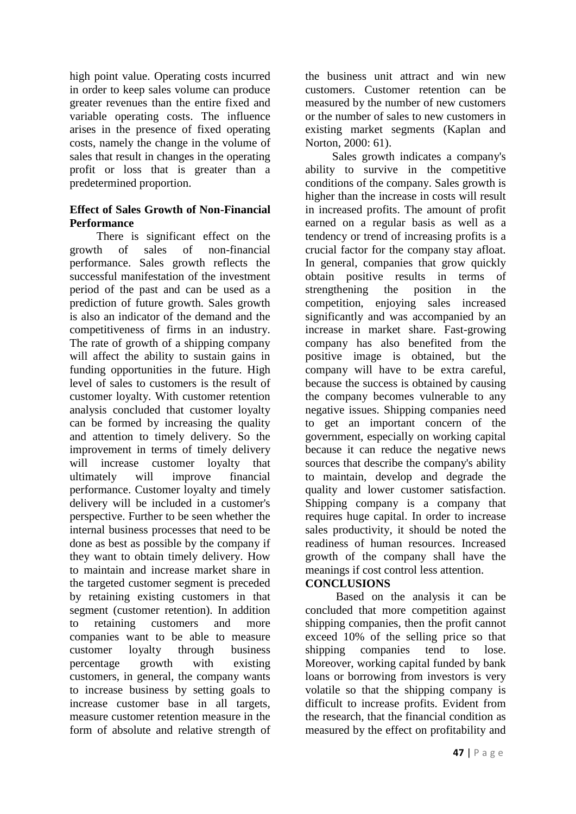high point value. Operating costs incurred in order to keep sales volume can produce greater revenues than the entire fixed and variable operating costs. The influence arises in the presence of fixed operating costs, namely the change in the volume of sales that result in changes in the operating profit or loss that is greater than a predetermined proportion.

### **Effect of Sales Growth of Non-Financial Performance**

There is significant effect on the growth of sales of non-financial performance. Sales growth reflects the successful manifestation of the investment period of the past and can be used as a prediction of future growth. Sales growth is also an indicator of the demand and the competitiveness of firms in an industry. The rate of growth of a shipping company will affect the ability to sustain gains in funding opportunities in the future. High level of sales to customers is the result of customer loyalty. With customer retention analysis concluded that customer loyalty can be formed by increasing the quality and attention to timely delivery. So the improvement in terms of timely delivery will increase customer loyalty that ultimately will improve financial performance. Customer loyalty and timely delivery will be included in a customer's perspective. Further to be seen whether the internal business processes that need to be done as best as possible by the company if they want to obtain timely delivery. How to maintain and increase market share in the targeted customer segment is preceded by retaining existing customers in that segment (customer retention). In addition to retaining customers and more companies want to be able to measure customer loyalty through business percentage growth with existing customers, in general, the company wants to increase business by setting goals to increase customer base in all targets, measure customer retention measure in the form of absolute and relative strength of the business unit attract and win new customers. Customer retention can be measured by the number of new customers or the number of sales to new customers in existing market segments (Kaplan and Norton, 2000: 61).

Sales growth indicates a company's ability to survive in the competitive conditions of the company. Sales growth is higher than the increase in costs will result in increased profits. The amount of profit earned on a regular basis as well as a tendency or trend of increasing profits is a crucial factor for the company stay afloat. In general, companies that grow quickly obtain positive results in terms of strengthening the position in the competition, enjoying sales increased significantly and was accompanied by an increase in market share. Fast-growing company has also benefited from the positive image is obtained, but the company will have to be extra careful, because the success is obtained by causing the company becomes vulnerable to any negative issues. Shipping companies need to get an important concern of the government, especially on working capital because it can reduce the negative news sources that describe the company's ability to maintain, develop and degrade the quality and lower customer satisfaction. Shipping company is a company that requires huge capital. In order to increase sales productivity, it should be noted the readiness of human resources. Increased growth of the company shall have the meanings if cost control less attention.

## **CONCLUSIONS**

Based on the analysis it can be concluded that more competition against shipping companies, then the profit cannot exceed 10% of the selling price so that shipping companies tend to lose. Moreover, working capital funded by bank loans or borrowing from investors is very volatile so that the shipping company is difficult to increase profits. Evident from the research, that the financial condition as measured by the effect on profitability and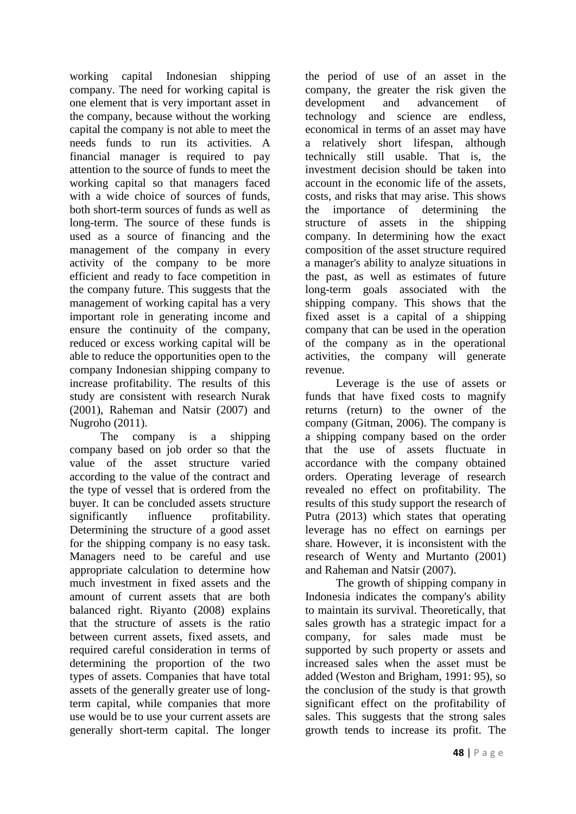working capital Indonesian shipping company. The need for working capital is one element that is very important asset in the company, because without the working capital the company is not able to meet the needs funds to run its activities. A financial manager is required to pay attention to the source of funds to meet the working capital so that managers faced with a wide choice of sources of funds, both short-term sources of funds as well as long-term. The source of these funds is used as a source of financing and the management of the company in every activity of the company to be more efficient and ready to face competition in the company future. This suggests that the management of working capital has a very important role in generating income and ensure the continuity of the company, reduced or excess working capital will be able to reduce the opportunities open to the company Indonesian shipping company to increase profitability. The results of this study are consistent with research Nurak (2001), Raheman and Natsir (2007) and Nugroho (2011).

The company is a shipping company based on job order so that the value of the asset structure varied according to the value of the contract and the type of vessel that is ordered from the buyer. It can be concluded assets structure significantly influence profitability. Determining the structure of a good asset for the shipping company is no easy task. Managers need to be careful and use appropriate calculation to determine how much investment in fixed assets and the amount of current assets that are both balanced right. Riyanto (2008) explains that the structure of assets is the ratio between current assets, fixed assets, and required careful consideration in terms of determining the proportion of the two types of assets. Companies that have total assets of the generally greater use of longterm capital, while companies that more use would be to use your current assets are generally short-term capital. The longer the period of use of an asset in the company, the greater the risk given the<br>development and advancement of and advancement of technology and science are endless, economical in terms of an asset may have a relatively short lifespan, although technically still usable. That is, the investment decision should be taken into account in the economic life of the assets, costs, and risks that may arise. This shows the importance of determining the structure of assets in the shipping company. In determining how the exact composition of the asset structure required a manager's ability to analyze situations in the past, as well as estimates of future long-term goals associated with the shipping company. This shows that the fixed asset is a capital of a shipping company that can be used in the operation of the company as in the operational activities, the company will generate revenue.

Leverage is the use of assets or funds that have fixed costs to magnify returns (return) to the owner of the company (Gitman, 2006). The company is a shipping company based on the order that the use of assets fluctuate in accordance with the company obtained orders. Operating leverage of research revealed no effect on profitability. The results of this study support the research of Putra (2013) which states that operating leverage has no effect on earnings per share. However, it is inconsistent with the research of Wenty and Murtanto (2001) and Raheman and Natsir (2007).

The growth of shipping company in Indonesia indicates the company's ability to maintain its survival. Theoretically, that sales growth has a strategic impact for a company, for sales made must be supported by such property or assets and increased sales when the asset must be added (Weston and Brigham, 1991: 95), so the conclusion of the study is that growth significant effect on the profitability of sales. This suggests that the strong sales growth tends to increase its profit. The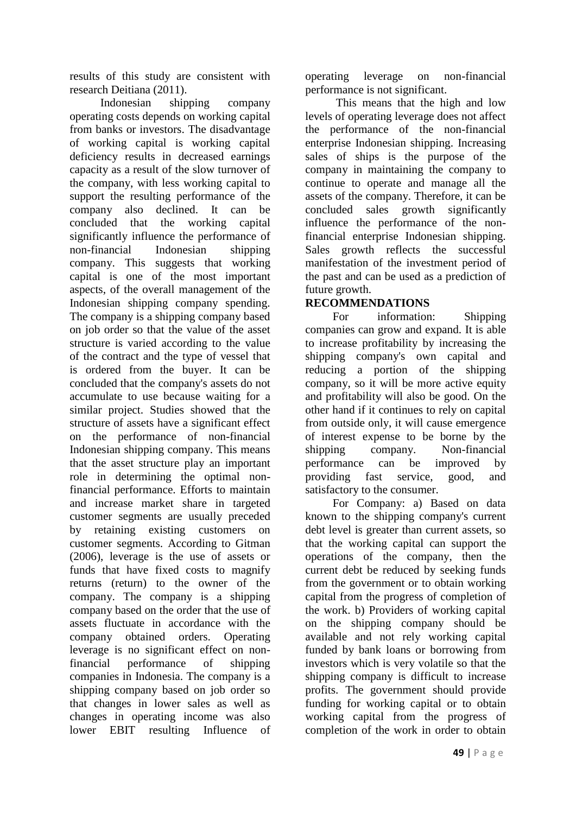results of this study are consistent with research Deitiana (2011).

Indonesian shipping company operating costs depends on working capital from banks or investors. The disadvantage of working capital is working capital deficiency results in decreased earnings capacity as a result of the slow turnover of the company, with less working capital to support the resulting performance of the company also declined. It can be concluded that the working capital significantly influence the performance of non-financial Indonesian shipping company. This suggests that working capital is one of the most important aspects, of the overall management of the Indonesian shipping company spending. The company is a shipping company based on job order so that the value of the asset structure is varied according to the value of the contract and the type of vessel that is ordered from the buyer. It can be concluded that the company's assets do not accumulate to use because waiting for a similar project. Studies showed that the structure of assets have a significant effect on the performance of non-financial Indonesian shipping company. This means that the asset structure play an important role in determining the optimal nonfinancial performance. Efforts to maintain and increase market share in targeted customer segments are usually preceded by retaining existing customers on customer segments. According to Gitman (2006), leverage is the use of assets or funds that have fixed costs to magnify returns (return) to the owner of the company. The company is a shipping company based on the order that the use of assets fluctuate in accordance with the company obtained orders. Operating leverage is no significant effect on nonfinancial performance of shipping companies in Indonesia. The company is a shipping company based on job order so that changes in lower sales as well as changes in operating income was also lower EBIT resulting Influence of operating leverage on non-financial performance is not significant.

This means that the high and low levels of operating leverage does not affect the performance of the non-financial enterprise Indonesian shipping. Increasing sales of ships is the purpose of the company in maintaining the company to continue to operate and manage all the assets of the company. Therefore, it can be concluded sales growth significantly influence the performance of the nonfinancial enterprise Indonesian shipping. Sales growth reflects the successful manifestation of the investment period of the past and can be used as a prediction of future growth.

## **RECOMMENDATIONS**

For information: Shipping companies can grow and expand. It is able to increase profitability by increasing the shipping company's own capital and reducing a portion of the shipping company, so it will be more active equity and profitability will also be good. On the other hand if it continues to rely on capital from outside only, it will cause emergence of interest expense to be borne by the shipping company. Non-financial performance can be improved by providing fast service, good, and satisfactory to the consumer.

For Company: a) Based on data known to the shipping company's current debt level is greater than current assets, so that the working capital can support the operations of the company, then the current debt be reduced by seeking funds from the government or to obtain working capital from the progress of completion of the work. b) Providers of working capital on the shipping company should be available and not rely working capital funded by bank loans or borrowing from investors which is very volatile so that the shipping company is difficult to increase profits. The government should provide funding for working capital or to obtain working capital from the progress of completion of the work in order to obtain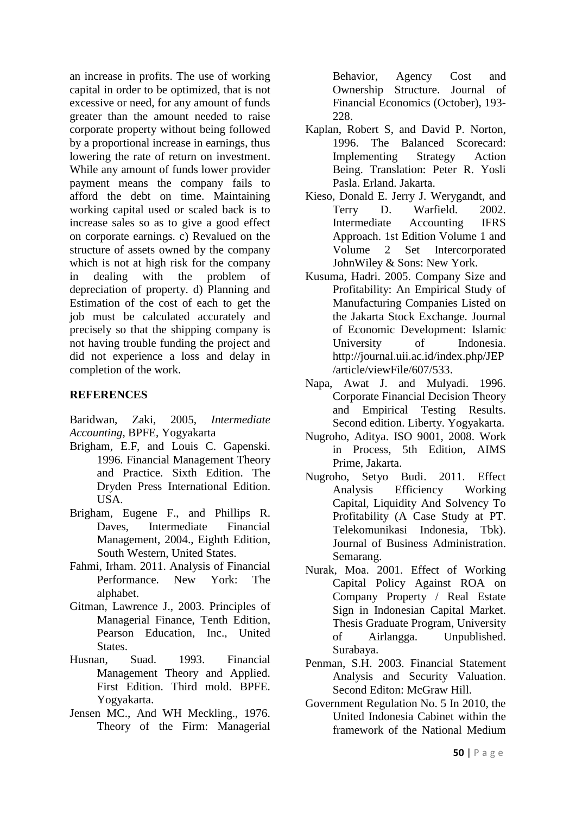an increase in profits. The use of working capital in order to be optimized, that is not excessive or need, for any amount of funds greater than the amount needed to raise corporate property without being followed by a proportional increase in earnings, thus lowering the rate of return on investment. While any amount of funds lower provider payment means the company fails to afford the debt on time. Maintaining working capital used or scaled back is to increase sales so as to give a good effect on corporate earnings. c) Revalued on the structure of assets owned by the company which is not at high risk for the company in dealing with the problem of depreciation of property. d) Planning and Estimation of the cost of each to get the job must be calculated accurately and precisely so that the shipping company is not having trouble funding the project and did not experience a loss and delay in completion of the work.

#### **REFERENCES**

Baridwan, Zaki, 2005, *Intermediate Accounting*, BPFE, Yogyakarta

- Brigham, E.F, and Louis C. Gapenski. 1996. Financial Management Theory and Practice. Sixth Edition. The Dryden Press International Edition. USA.
- Brigham, Eugene F., and Phillips R. Daves, Intermediate Financial Management, 2004., Eighth Edition, South Western, United States.
- Fahmi, Irham. 2011. Analysis of Financial Performance. New York: The alphabet.
- Gitman, Lawrence J., 2003. Principles of Managerial Finance, Tenth Edition, Pearson Education, Inc., United States.
- Husnan, Suad. 1993. Financial Management Theory and Applied. First Edition. Third mold. BPFE. Yogyakarta.
- Jensen MC., And WH Meckling., 1976. Theory of the Firm: Managerial

Behavior, Agency Cost and Ownership Structure. Journal of Financial Economics (October), 193- 228.

- Kaplan, Robert S, and David P. Norton, 1996. The Balanced Scorecard: Implementing Strategy Action Being. Translation: Peter R. Yosli Pasla. Erland. Jakarta.
- Kieso, Donald E. Jerry J. Werygandt, and Terry D. Warfield. 2002. Intermediate Accounting IFRS Approach. 1st Edition Volume 1 and Volume 2 Set Intercorporated JohnWiley & Sons: New York.
- Kusuma, Hadri. 2005. Company Size and Profitability: An Empirical Study of Manufacturing Companies Listed on the Jakarta Stock Exchange. Journal of Economic Development: Islamic University of Indonesia. http://journal.uii.ac.id/index.php/JEP /article/viewFile/607/533.
- Napa, Awat J. and Mulyadi. 1996. Corporate Financial Decision Theory and Empirical Testing Results. Second edition. Liberty. Yogyakarta.
- Nugroho, Aditya. ISO 9001, 2008. Work in Process, 5th Edition, AIMS Prime, Jakarta.
- Nugroho, Setyo Budi. 2011. Effect Analysis Efficiency Working Capital, Liquidity And Solvency To Profitability (A Case Study at PT. Telekomunikasi Indonesia, Tbk). Journal of Business Administration. Semarang.
- Nurak, Moa. 2001. Effect of Working Capital Policy Against ROA on Company Property / Real Estate Sign in Indonesian Capital Market. Thesis Graduate Program, University of Airlangga. Unpublished. Surabaya.
- Penman, S.H. 2003. Financial Statement Analysis and Security Valuation. Second Editon: McGraw Hill.
- Government Regulation No. 5 In 2010, the United Indonesia Cabinet within the framework of the National Medium